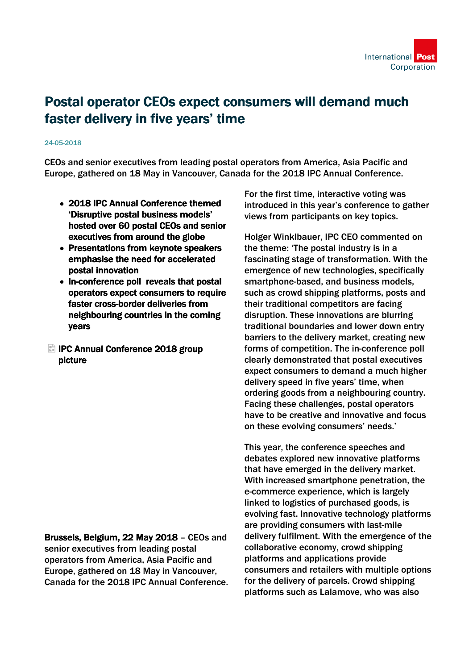

# Postal operator CEOs expect consumers will demand much faster delivery in five years' time

#### 24-05-2018

CEOs and senior executives from leading postal operators from America, Asia Pacific and Europe, gathered on 18 May in Vancouver, Canada for the 2018 IPC Annual Conference.

- 2018 IPC Annual Conference themed 'Disruptive postal business models' hosted over 60 postal CEOs and senior executives from around the globe
- Presentations from keynote speakers emphasise the need for accelerated postal innovation
- In-conference poll reveals that postal operators expect consumers to require faster cross-border deliveries from neighbouring countries in the coming years
- **El IPC Annual Conference 2018 group** picture

Brussels, Belgium, 22 May 2018 – CEOs and senior executives from leading postal operators from America, Asia Pacific and Europe, gathered on 18 May in Vancouver, Canada for the 2018 IPC Annual Conference. For the first time, interactive voting was introduced in this year's conference to gather views from participants on key topics.

Holger Winklbauer, IPC CEO commented on the theme: 'The postal industry is in a fascinating stage of transformation. With the emergence of new technologies, specifically smartphone-based, and business models, such as crowd shipping platforms, posts and their traditional competitors are facing disruption. These innovations are blurring traditional boundaries and lower down entry barriers to the delivery market, creating new forms of competition. The in-conference poll clearly demonstrated that postal executives expect consumers to demand a much higher delivery speed in five years' time, when ordering goods from a neighbouring country. Facing these challenges, postal operators have to be creative and innovative and focus on these evolving consumers' needs.'

This year, the conference speeches and debates explored new innovative platforms that have emerged in the delivery market. With increased smartphone penetration, the e-commerce experience, which is largely linked to logistics of purchased goods, is evolving fast. Innovative technology platforms are providing consumers with last-mile delivery fulfilment. With the emergence of the collaborative economy, crowd shipping platforms and applications provide consumers and retailers with multiple options for the delivery of parcels. Crowd shipping platforms such as Lalamove, who was also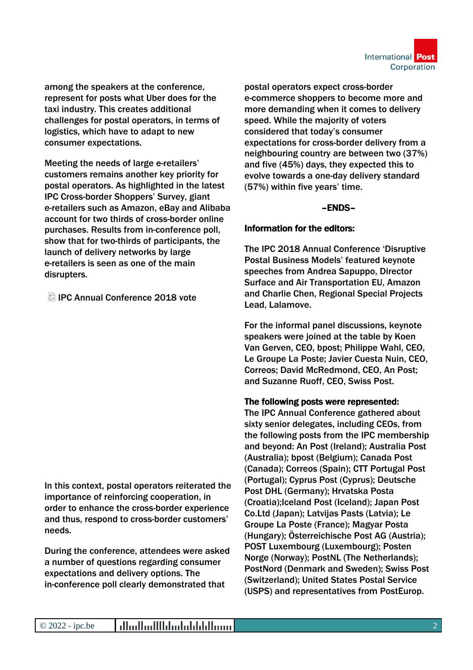

among the speakers at the conference, represent for posts what Uber does for the taxi industry. This creates additional challenges for postal operators, in terms of logistics, which have to adapt to new consumer expectations.

Meeting the needs of large e-retailers' customers remains another key priority for postal operators. As highlighted in the latest IPC Cross-border Shoppers' Survey, giant e-retailers such as Amazon, eBay and Alibaba account for two thirds of cross-border online purchases. Results from in-conference poll, show that for two-thirds of participants, the launch of delivery networks by large e-retailers is seen as one of the main disrupters.

IPC Annual Conference 2018 vote

In this context, postal operators reiterated the importance of reinforcing cooperation, in order to enhance the cross-border experience and thus, respond to cross-border customers' needs.

During the conference, attendees were asked a number of questions regarding consumer expectations and delivery options. The in-conference poll clearly demonstrated that

postal operators expect cross-border e-commerce shoppers to become more and more demanding when it comes to delivery speed. While the majority of voters considered that today's consumer expectations for cross-border delivery from a neighbouring country are between two (37%) and five (45%) days, they expected this to evolve towards a one-day delivery standard (57%) within five years' time.

## –ENDS–

## Information for the editors:

The IPC 2018 Annual Conference 'Disruptive Postal Business Models' featured keynote speeches from Andrea Sapuppo, Director Surface and Air Transportation EU, Amazon and Charlie Chen, Regional Special Projects Lead, Lalamove.

For the informal panel discussions, keynote speakers were joined at the table by Koen Van Gerven, CEO, bpost; Philippe Wahl, CEO, Le Groupe La Poste; Javier Cuesta Nuin, CEO, Correos; David McRedmond, CEO, An Post; and Suzanne Ruoff, CEO, Swiss Post.

## The following posts were represented:

The IPC Annual Conference gathered about sixty senior delegates, including CEOs, from the following posts from the IPC membership and beyond: An Post (Ireland); Australia Post (Australia); bpost (Belgium); Canada Post (Canada); Correos (Spain); CTT Portugal Post (Portugal); Cyprus Post (Cyprus); Deutsche Post DHL (Germany); Hrvatska Posta (Croatia);Iceland Post (Iceland); Japan Post Co.Ltd (Japan); Latvijas Pasts (Latvia); Le Groupe La Poste (France); Magyar Posta (Hungary); Österreichische Post AG (Austria); POST Luxembourg (Luxembourg); Posten Norge (Norway); PostNL (The Netherlands); PostNord (Denmark and Sweden); Swiss Post (Switzerland); United States Postal Service (USPS) and representatives from PostEurop.